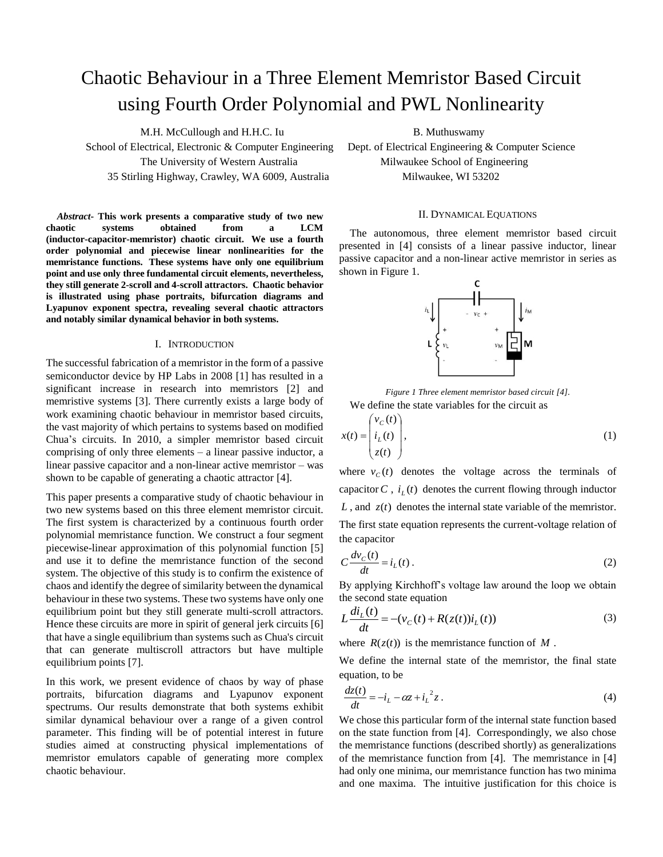# Chaotic Behaviour in a Three Element Memristor Based Circuit using Fourth Order Polynomial and PWL Nonlinearity

M.H. McCullough and H.H.C. Iu B. Muthuswamy

School of Electrical, Electronic & Computer Engineering Dept. of Electrical Engineering & Computer Science The University of Western Australia Milwaukee School of Engineering 35 Stirling Highway, Crawley, WA 6009, Australia Milwaukee, WI 53202

*Abstract***- This work presents a comparative study of two new chaotic systems obtained from a LCM (inductor-capacitor-memristor) chaotic circuit. We use a fourth order polynomial and piecewise linear nonlinearities for the memristance functions. These systems have only one equilibrium point and use only three fundamental circuit elements, nevertheless, they still generate 2-scroll and 4-scroll attractors. Chaotic behavior is illustrated using phase portraits, bifurcation diagrams and Lyapunov exponent spectra, revealing several chaotic attractors and notably similar dynamical behavior in both systems.**

# I. INTRODUCTION

The successful fabrication of a memristor in the form of a passive semiconductor device by HP Labs in 2008 [1] has resulted in a significant increase in research into memristors [2] and memristive systems [3]. There currently exists a large body of work examining chaotic behaviour in memristor based circuits, the vast majority of which pertains to systems based on modified Chua's circuits. In 2010, a simpler memristor based circuit comprising of only three elements – a linear passive inductor, a linear passive capacitor and a non-linear active memristor – was shown to be capable of generating a chaotic attractor [4].

This paper presents a comparative study of chaotic behaviour in two new systems based on this three element memristor circuit. The first system is characterized by a continuous fourth order polynomial memristance function. We construct a four segment piecewise-linear approximation of this polynomial function [5] and use it to define the memristance function of the second system. The objective of this study is to confirm the existence of chaos and identify the degree of similarity between the dynamical behaviour in these two systems. These two systems have only one equilibrium point but they still generate multi-scroll attractors. Hence these circuits are more in spirit of general jerk circuits [6] that have a single equilibrium than systems such as Chua's circuit that can generate multiscroll attractors but have multiple equilibrium points [7].

In this work, we present evidence of chaos by way of phase portraits, bifurcation diagrams and Lyapunov exponent spectrums. Our results demonstrate that both systems exhibit similar dynamical behaviour over a range of a given control parameter. This finding will be of potential interest in future studies aimed at constructing physical implementations of memristor emulators capable of generating more complex chaotic behaviour.

## II. DYNAMICAL EQUATIONS

The autonomous, three element memristor based circuit presented in [4] consists of a linear passive inductor, linear passive capacitor and a non-linear active memristor in series as shown in Figure 1.



*Figure 1 Three element memristor based circuit [4]*. We define the state variables for the circuit as

$$
x(t) = \begin{pmatrix} v_C(t) \\ i_L(t) \\ z(t) \end{pmatrix},
$$
 (1)

where  $v_c(t)$  denotes the voltage across the terminals of capacitor  $C$ ,  $i_L(t)$  denotes the current flowing through inductor  $L$ , and  $z(t)$  denotes the internal state variable of the memristor. The first state equation represents the current-voltage relation of the capacitor

$$
C\frac{dv_c(t)}{dt} = i_L(t). \tag{2}
$$

By applying Kirchhoff's voltage law around the loop we obtain the second state equation

$$
L\frac{di_{L}(t)}{dt} = -(v_{C}(t) + R(z(t))i_{L}(t))
$$
\n(3)

where  $R(z(t))$  is the memristance function of M.

We define the internal state of the memristor, the final state equation, to be

$$
\frac{dz(t)}{dt} = -i_L - \alpha z + i_L^2 z. \tag{4}
$$

We chose this particular form of the internal state function based on the state function from [4]. Correspondingly, we also chose the memristance functions (described shortly) as generalizations of the memristance function from [4]. The memristance in [4] had only one minima, our memristance function has two minima and one maxima. The intuitive justification for this choice is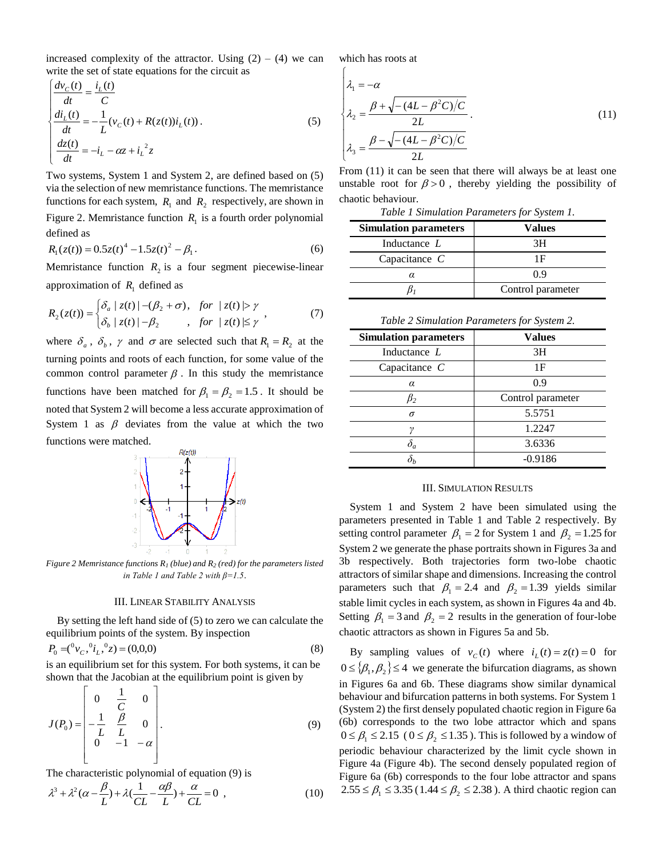increased complexity of the attractor. Using  $(2) - (4)$  we can write the set of state equations for the circuit as

$$
\begin{cases}\n\frac{dv_C(t)}{dt} = \frac{i_L(t)}{C} \\
\frac{di_L(t)}{dt} = -\frac{1}{L}(v_C(t) + R(z(t))i_L(t)). \\
\frac{dz(t)}{dt} = -i_L - \alpha z + i_L^2 z\n\end{cases}
$$
\n(5)

Two systems, System 1 and System 2, are defined based on (5) via the selection of new memristance functions. The memristance functions for each system,  $R_1$  and  $R_2$  respectively, are shown in Figure 2. Memristance function  $R_1$  is a fourth order polynomial defined as

$$
R_1(z(t)) = 0.5z(t)^4 - 1.5z(t)^2 - \beta_1.
$$
 (6)

Memristance function  $R_2$  is a four segment piecewise-linear approximation of  $R_1$  defined as

$$
R_2(z(t)) = \begin{cases} \delta_a \mid z(t) \mid -(\beta_2 + \sigma), & \text{for} \quad |z(t)| > \gamma \\ \delta_b \mid z(t) \mid -\beta_2, & \text{for} \quad |z(t)| \le \gamma \end{cases}
$$
 (7)

where  $\delta_a$ ,  $\delta_b$ ,  $\gamma$  and  $\sigma$  are selected such that  $R_1 = R_2$  at the turning points and roots of each function, for some value of the common control parameter  $\beta$ . In this study the memristance functions have been matched for  $\beta_1 = \beta_2 = 1.5$ . It should be noted that System 2 will become a less accurate approximation of System 1 as  $\beta$  deviates from the value at which the two functions were matched.



*Figure 2 Memristance functions R<sup>1</sup> (blue) and R<sup>2</sup> (red) for the parameters listed in Table 1 and Table 2 with β=1.5*.

#### III. LINEAR STABILITY ANALYSIS

By setting the left hand side of (5) to zero we can calculate the equilibrium points of the system. By inspection

$$
P_0 = ({}^0v_C, {}^0i_L, {}^0z) = (0,0,0)
$$
\n(8)

is an equilibrium set for this system. For both systems, it can be shown that the Jacobian at the equilibrium point is given by

$$
J(P_0) = \begin{bmatrix} 0 & \frac{1}{C} & 0 \\ -\frac{1}{L} & \frac{\beta}{L} & 0 \\ 0 & -1 & -\alpha \end{bmatrix}.
$$
 (9)

The characteristic polynomial of equation (9) is

$$
\lambda^3 + \lambda^2 (\alpha - \frac{\beta}{L}) + \lambda (\frac{1}{CL} - \frac{\alpha \beta}{L}) + \frac{\alpha}{CL} = 0 , \qquad (10)
$$

which has roots at

 $\sqrt{ }$ 

$$
\begin{cases}\n\lambda_1 = -\alpha \\
\lambda_2 = \frac{\beta + \sqrt{-\left(4L - \beta^2 C\right)/C}}{2L} \\
\lambda_3 = \frac{\beta - \sqrt{-\left(4L - \beta^2 C\right)/C}}{2L}\n\end{cases} (11)
$$

From (11) it can be seen that there will always be at least one unstable root for  $\beta > 0$ , thereby yielding the possibility of chaotic behaviour.

| Table 1 Simulation Parameters for System 1. |
|---------------------------------------------|
|---------------------------------------------|

| <b>Simulation parameters</b> | Values            |
|------------------------------|-------------------|
| Inductance $L$               | 3H                |
| Capacitance $C$              | 1 F               |
|                              | 09                |
|                              | Control parameter |

*Table 2 Simulation Parameters for System 2.*

| <b>Simulation parameters</b> | <b>Values</b>     |  |
|------------------------------|-------------------|--|
| Inductance L                 | 3H                |  |
| Capacitance $C$              | 1F                |  |
| α                            | 0.9               |  |
| $\beta_2$                    | Control parameter |  |
| σ                            | 5.5751            |  |
|                              | 1.2247            |  |
| $\delta_a$                   | 3.6336            |  |
|                              | $-0.9186$         |  |

### III. SIMULATION RESULTS

System 1 and System 2 have been simulated using the parameters presented in Table 1 and Table 2 respectively. By setting control parameter  $\beta_1 = 2$  for System 1 and  $\beta_2 = 1.25$  for System 2 we generate the phase portraits shown in Figures 3a and 3b respectively. Both trajectories form two-lobe chaotic attractors of similar shape and dimensions. Increasing the control parameters such that  $\beta_1 = 2.4$  and  $\beta_2 = 1.39$  yields similar stable limit cycles in each system, as shown in Figures 4a and 4b. Setting  $\beta_1 = 3$  and  $\beta_2 = 2$  results in the generation of four-lobe chaotic attractors as shown in Figures 5a and 5b.

By sampling values of  $v_c(t)$  where  $i_L(t) = z(t) = 0$  for  $0 \leq {\lbrace \beta_1, \beta_2 \rbrace} \leq 4$  we generate the bifurcation diagrams, as shown in Figures 6a and 6b. These diagrams show similar dynamical behaviour and bifurcation patterns in both systems. For System 1 (System 2) the first densely populated chaotic region in Figure 6a (6b) corresponds to the two lobe attractor which and spans  $0 \le \beta_1 \le 2.15$  ( $0 \le \beta_2 \le 1.35$ ). This is followed by a window of periodic behaviour characterized by the limit cycle shown in Figure 4a (Figure 4b). The second densely populated region of Figure 6a (6b) corresponds to the four lobe attractor and spans  $2.55 \le \beta_1 \le 3.35$  (1.44  $\le \beta_2 \le 2.38$ ). A third chaotic region can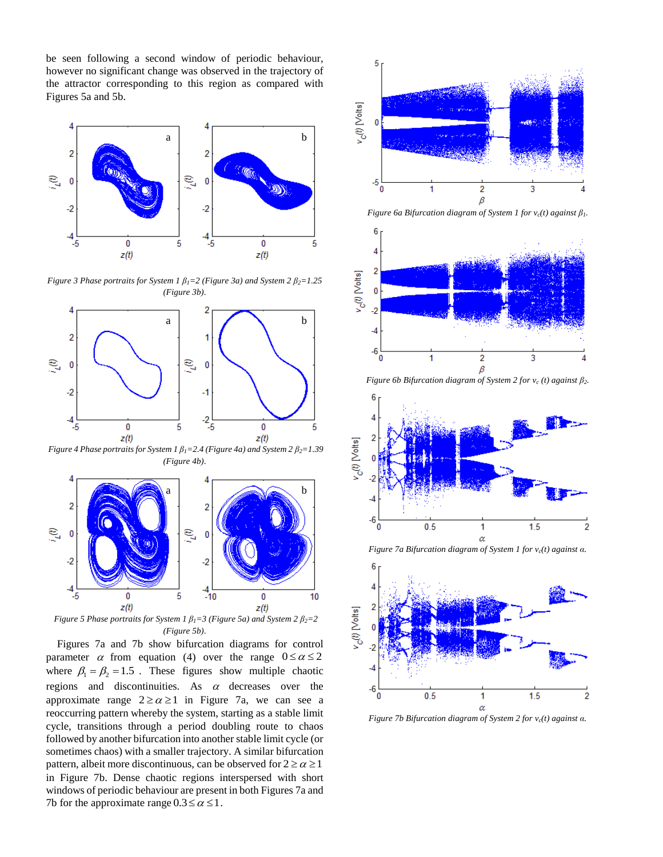be seen following a second window of periodic behaviour, however no significant change was observed in the trajectory of the attractor corresponding to this region as compared with Figures 5a and 5b.



*Figure 3 Phase portraits for System 1 β1=2 (Figure 3a) and System 2 β2=1.25 (Figure 3b)*.



*Figure 4 Phase portraitsfor System 1 β1=2.4 (Figure 4a) and System 2 β2=1.39 (Figure 4b)*.



*Figure 5 Phase portraits for System 1 β1=3 (Figure 5a) and System 2 β2=2 (Figure 5b)*.

Figures 7a and 7b show bifurcation diagrams for control parameter  $\alpha$  from equation (4) over the range  $0 \le \alpha \le 2$ where  $\beta_1 = \beta_2 = 1.5$ . These figures show multiple chaotic regions and discontinuities. As  $\alpha$  decreases over the approximate range  $2 \ge \alpha \ge 1$  in Figure 7a, we can see a reoccurring pattern whereby the system, starting as a stable limit cycle, transitions through a period doubling route to chaos followed by another bifurcation into another stable limit cycle (or sometimes chaos) with a smaller trajectory. A similar bifurcation pattern, albeit more discontinuous, can be observed for  $2 \ge \alpha \ge 1$ in Figure 7b. Dense chaotic regions interspersed with short windows of periodic behaviour are present in both Figures 7a and 7b for the approximate range  $0.3 \le \alpha \le 1$ .



*Figure 6a Bifurcation diagram of System 1 for vc(t) against β1.*



*Figure 6b Bifurcation diagram of System 2 for v<sup>c</sup> (t) against β2.*



*Figure 7a Bifurcation diagram of System 1 for vc(t) against α.*



*Figure 7b Bifurcation diagram of System 2 for vc(t) against α.*